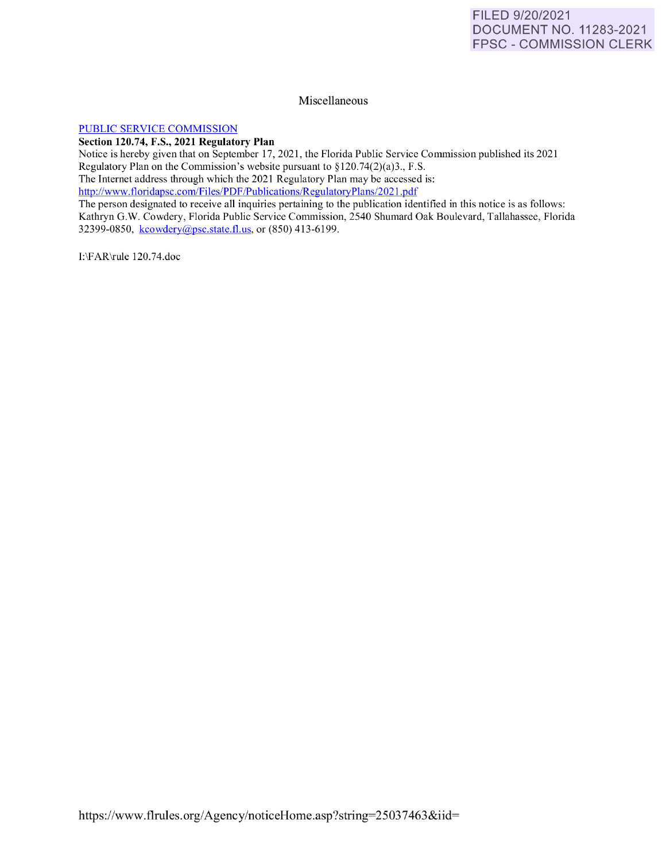## Miscellaneous

## [PUBLIC SERVICE COMMISSION](https://www.flrules.org/gateway/department.asp?id=25)

**Section 120.74, F.S., 2021 Regulatory Plan** 

Notice is hereby given that on September 17, 2021, the Florida Public Service Commission published its 2021 Regulatory Plan on the Commission's website pursuant to  $\S 120.74(2)(a)3$ ., F.S. The Internet address through which the 2021 Regulatory Plan may be accessed is: http://www.floridapsc.com/Files/PDF/Publications/RegulatoryPlans/2021.pdf

The person designated to receive all inquiries pertaining to the publication identified in this notice is as follows: Kathryn G.W. Cowdery, Florida Public Service Commission, 2540 Shumard Oak Boulevard, Tallahassee, Florida 32399-0850, [kcowdery@psc.state.fl.us,](mailto:kcowdery@psc.state.fl.us) or (850) 413-6199.

I:\FAR\rule 120.74.doc